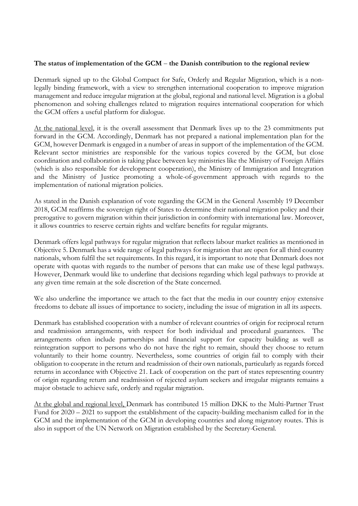## **The status of implementation of the GCM** – **the Danish contribution to the regional review**

Denmark signed up to the Global Compact for Safe, Orderly and Regular Migration, which is a nonlegally binding framework, with a view to strengthen international cooperation to improve migration management and reduce irregular migration at the global, regional and national level. Migration is a global phenomenon and solving challenges related to migration requires international cooperation for which the GCM offers a useful platform for dialogue.

At the national level, it is the overall assessment that Denmark lives up to the 23 commitments put forward in the GCM. Accordingly, Denmark has not prepared a national implementation plan for the GCM, however Denmark is engaged in a number of areas in support of the implementation of the GCM. Relevant sector ministries are responsible for the various topics covered by the GCM, but close coordination and collaboration is taking place between key ministries like the Ministry of Foreign Affairs (which is also responsible for development cooperation), the Ministry of Immigration and Integration and the Ministry of Justice promoting a whole-of-government approach with regards to the implementation of national migration policies.

As stated in the Danish explanation of vote regarding the GCM in the General Assembly 19 December 2018, GCM reaffirms the sovereign right of States to determine their national migration policy and their prerogative to govern migration within their jurisdiction in conformity with international law. Moreover, it allows countries to reserve certain rights and welfare benefits for regular migrants.

Denmark offers legal pathways for regular migration that reflects labour market realities as mentioned in Objective 5. Denmark has a wide range of legal pathways for migration that are open for all third country nationals, whom fulfil the set requirements. In this regard, it is important to note that Denmark does not operate with quotas with regards to the number of persons that can make use of these legal pathways. However, Denmark would like to underline that decisions regarding which legal pathways to provide at any given time remain at the sole discretion of the State concerned.

We also underline the importance we attach to the fact that the media in our country enjoy extensive freedoms to debate all issues of importance to society, including the issue of migration in all its aspects.

Denmark has established cooperation with a number of relevant countries of origin for reciprocal return and readmission arrangements, with respect for both individual and procedural guarantees. The arrangements often include partnerships and financial support for capacity building as well as reintegration support to persons who do not have the right to remain, should they choose to return voluntarily to their home country. Nevertheless, some countries of origin fail to comply with their obligation to cooperate in the return and readmission of their own nationals, particularly as regards forced returns in accordance with Objective 21. Lack of cooperation on the part of states representing country of origin regarding return and readmission of rejected asylum seekers and irregular migrants remains a major obstacle to achieve safe, orderly and regular migration.

At the global and regional level, Denmark has contributed 15 million DKK to the Multi-Partner Trust Fund for 2020 – 2021 to support the establishment of the capacity-building mechanism called for in the GCM and the implementation of the GCM in developing countries and along migratory routes. This is also in support of the UN Network on Migration established by the Secretary-General.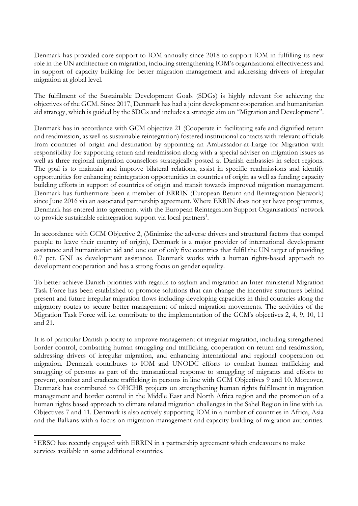Denmark has provided core support to IOM annually since 2018 to support IOM in fulfilling its new role in the UN architecture on migration, including strengthening IOM's organizational effectiveness and in support of capacity building for better migration management and addressing drivers of irregular migration at global level.

The fulfilment of the Sustainable Development Goals (SDGs) is highly relevant for achieving the objectives of the GCM. Since 2017, Denmark has had a joint development cooperation and humanitarian aid strategy, which is guided by the SDGs and includes a strategic aim on "Migration and Development".

Denmark has in accordance with GCM objective 21 (Cooperate in facilitating safe and dignified return and readmission, as well as sustainable reintegration) fostered institutional contacts with relevant officials from countries of origin and destination by appointing an Ambassador-at-Large for Migration with responsibility for supporting return and readmission along with a special adviser on migration issues as well as three regional migration counsellors strategically posted at Danish embassies in select regions. The goal is to maintain and improve bilateral relations, assist in specific readmissions and identify opportunities for enhancing reintegration opportunities in countries of origin as well as funding capacity building efforts in support of countries of origin and transit towards improved migration management. Denmark has furthermore been a member of ERRIN (European Return and Reintegration Network) since June 2016 via an associated partnership agreement. Where ERRIN does not yet have programmes, Denmark has entered into agreement with the European Reintegration Support Organisations' network to provide sustainable reintegration support via local partners<sup>1</sup>.

In accordance with GCM Objective 2, (Minimize the adverse drivers and structural factors that compel people to leave their country of origin), Denmark is a major provider of international development assistance and humanitarian aid and one out of only five countries that fulfil the UN target of providing 0.7 pct. GNI as development assistance. Denmark works with a human rights-based approach to development cooperation and has a strong focus on gender equality.

To better achieve Danish priorities with regards to asylum and migration an Inter-ministerial Migration Task Force has been established to promote solutions that can change the incentive structures behind present and future irregular migration flows including developing capacities in third countries along the migratory routes to secure better management of mixed migration movements. The activities of the Migration Task Force will i.e. contribute to the implementation of the GCM's objectives 2, 4, 9, 10, 11 and 21.

It is of particular Danish priority to improve management of irregular migration, including strengthened border control, combatting human smuggling and trafficking, cooperation on return and readmission, addressing drivers of irregular migration, and enhancing international and regional cooperation on migration. Denmark contributes to IOM and UNODC efforts to combat human trafficking and smuggling of persons as part of the transnational response to smuggling of migrants and efforts to prevent, combat and eradicate trafficking in persons in line with GCM Objectives 9 and 10. Moreover, Denmark has contributed to OHCHR projects on strengthening human rights fulfilment in migration management and border control in the Middle East and North Africa region and the promotion of a human rights based approach to climate related migration challenges in the Sahel Region in line with i.a. Objectives 7 and 11. Denmark is also actively supporting IOM in a number of countries in Africa, Asia and the Balkans with a focus on migration management and capacity building of migration authorities.

**.** 

<sup>1</sup> ERSO has recently engaged with ERRIN in a partnership agreement which endeavours to make services available in some additional countries.